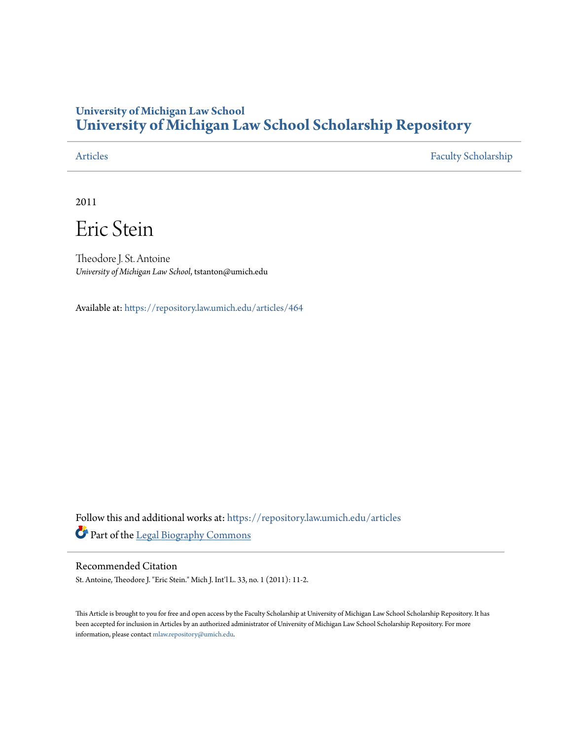# **University of Michigan Law School [University of Michigan Law School Scholarship Repository](https://repository.law.umich.edu?utm_source=repository.law.umich.edu%2Farticles%2F464&utm_medium=PDF&utm_campaign=PDFCoverPages)**

[Articles](https://repository.law.umich.edu/articles?utm_source=repository.law.umich.edu%2Farticles%2F464&utm_medium=PDF&utm_campaign=PDFCoverPages) [Faculty Scholarship](https://repository.law.umich.edu/faculty_scholarship?utm_source=repository.law.umich.edu%2Farticles%2F464&utm_medium=PDF&utm_campaign=PDFCoverPages)

2011

Eric Stein

Theodore J. St. Antoine *University of Michigan Law School*, tstanton@umich.edu

Available at: <https://repository.law.umich.edu/articles/464>

Follow this and additional works at: [https://repository.law.umich.edu/articles](https://repository.law.umich.edu/articles?utm_source=repository.law.umich.edu%2Farticles%2F464&utm_medium=PDF&utm_campaign=PDFCoverPages) Part of the [Legal Biography Commons](http://network.bepress.com/hgg/discipline/834?utm_source=repository.law.umich.edu%2Farticles%2F464&utm_medium=PDF&utm_campaign=PDFCoverPages)

### Recommended Citation

St. Antoine, Theodore J. "Eric Stein." Mich J. Int'l L. 33, no. 1 (2011): 11-2.

This Article is brought to you for free and open access by the Faculty Scholarship at University of Michigan Law School Scholarship Repository. It has been accepted for inclusion in Articles by an authorized administrator of University of Michigan Law School Scholarship Repository. For more information, please contact [mlaw.repository@umich.edu.](mailto:mlaw.repository@umich.edu)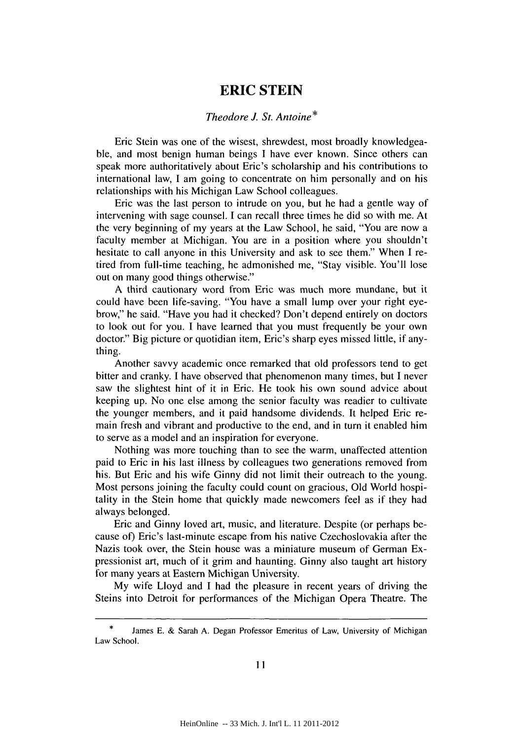## **ERIC STEIN**

#### *Theodore J. St. Antoine\**

Eric Stein was one of the wisest, shrewdest, most broadly knowledgeable, and most benign human beings **I** have ever known. Since others can speak more authoritatively about Eric's scholarship and his contributions to international law, **I** am going to concentrate on him personally and on his relationships with his Michigan Law School colleagues.

Eric was the last person to intrude on you, but he had a gentle way of intervening with sage counsel. **I** can recall three times he did so with me. At the very beginning of my years at the Law School, he said, "You are now a faculty member at Michigan. You are in a position where you shouldn't hesitate to call anyone in this University and ask to see them." When **I** retired from full-time teaching, he admonished me, "Stay visible. You'll lose out on many good things otherwise."

**A** third cautionary word from Eric was much more mundane, but it could have been life-saving. "You have a small lump over your right eyebrow," he said. "Have you had it checked? Don't depend entirely on doctors to look out for you. **I** have learned that you must frequently be your own doctor." Big picture or quotidian item, Eric's sharp eyes missed little, if anything.

Another savvy academic once remarked that old professors tend to get bitter and cranky. **I** have observed that phenomenon many times, but **I** never saw the slightest hint of it in Eric. He took his own sound advice about keeping up. No one else among the senior faculty was readier to cultivate the younger members, and it paid handsome dividends. It helped Eric remain fresh and vibrant and productive to the end, and in turn it enabled him to serve as a model and an inspiration for everyone.

Nothing was more touching than to see the warm, unaffected attention paid to Eric in his last illness **by** colleagues two generations removed from his. But Eric and his wife Ginny did not limit their outreach to the young. Most persons joining the faculty could count on gracious, **Old** World hospitality in the Stein home that quickly made newcomers feel as if they had always belonged.

Eric and Ginny loved art, music, and literature. Despite (or perhaps because of) Eric's last-minute escape from his native Czechoslovakia after the Nazis took over, the Stein house was a miniature museum of German Expressionist art, much of it grim and haunting. Ginny also taught art history for many years at Eastern Michigan University.

**My** wife Lloyd and **I** had the pleasure in recent years of driving the Steins into Detroit for performances of the Michigan Opera Theatre. The

James E. & Sarah A. Degan Professor Emeritus of Law, University of Michigan Law School.